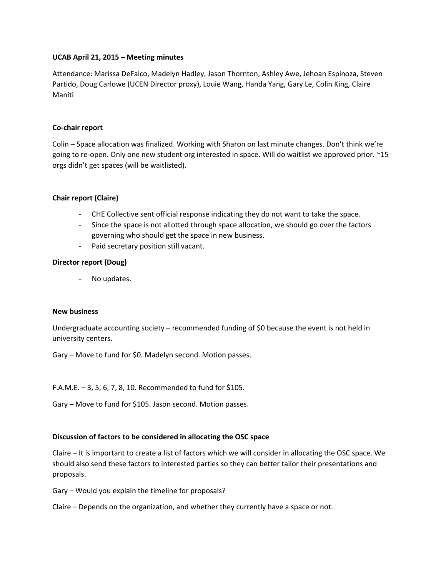# **UCAB April 21, 2015 – Meeting minutes**

Attendance: Marissa DeFalco, Madelyn Hadley, Jason Thornton, Ashley Awe, Jehoan Espinoza, Steven Partido, Doug Carlowe (UCEN Director proxy), Louie Wang, Handa Yang, Gary Le, Colin King, Claire Maniti

## **Co-chair report**

Colin – Space allocation was finalized. Working with Sharon on last minute changes. Don't think we're going to re-open. Only one new student org interested in space. Will do waitlist we approved prior. ~15 orgs didn't get spaces (will be waitlisted).

### **Chair report (Claire)**

- CHE Collective sent official response indicating they do not want to take the space.
- Since the space is not allotted through space allocation, we should go over the factors governing who should get the space in new business.
- Paid secretary position still vacant.

### **Director report (Doug)**

- No updates.

#### **New business**

Undergraduate accounting society – recommended funding of \$0 because the event is not held in university centers.

Gary – Move to fund for \$0. Madelyn second. Motion passes.

F.A.M.E.  $-3$ , 5, 6, 7, 8, 10. Recommended to fund for \$105.

Gary – Move to fund for \$105. Jason second. Motion passes.

#### **Discussion of factors to be considered in allocating the OSC space**

Claire – It is important to create a list of factors which we will consider in allocating the OSC space. We should also send these factors to interested parties so they can better tailor their presentations and proposals.

Gary – Would you explain the timeline for proposals?

Claire – Depends on the organization, and whether they currently have a space or not.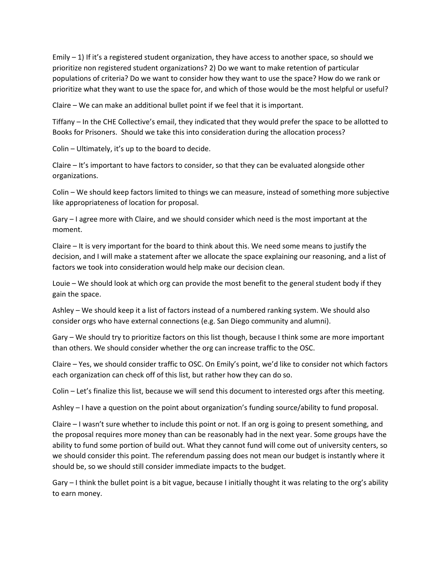Emily  $-1$ ) If it's a registered student organization, they have access to another space, so should we prioritize non registered student organizations? 2) Do we want to make retention of particular populations of criteria? Do we want to consider how they want to use the space? How do we rank or prioritize what they want to use the space for, and which of those would be the most helpful or useful?

Claire – We can make an additional bullet point if we feel that it is important.

Tiffany – In the CHE Collective's email, they indicated that they would prefer the space to be allotted to Books for Prisoners. Should we take this into consideration during the allocation process?

Colin – Ultimately, it's up to the board to decide.

Claire – It's important to have factors to consider, so that they can be evaluated alongside other organizations.

Colin – We should keep factors limited to things we can measure, instead of something more subjective like appropriateness of location for proposal.

Gary – I agree more with Claire, and we should consider which need is the most important at the moment.

Claire – It is very important for the board to think about this. We need some means to justify the decision, and I will make a statement after we allocate the space explaining our reasoning, and a list of factors we took into consideration would help make our decision clean.

Louie – We should look at which org can provide the most benefit to the general student body if they gain the space.

Ashley – We should keep it a list of factors instead of a numbered ranking system. We should also consider orgs who have external connections (e.g. San Diego community and alumni).

Gary – We should try to prioritize factors on this list though, because I think some are more important than others. We should consider whether the org can increase traffic to the OSC.

Claire – Yes, we should consider traffic to OSC. On Emily's point, we'd like to consider not which factors each organization can check off of this list, but rather how they can do so.

Colin – Let's finalize this list, because we will send this document to interested orgs after this meeting.

Ashley – I have a question on the point about organization's funding source/ability to fund proposal.

Claire – I wasn't sure whether to include this point or not. If an org is going to present something, and the proposal requires more money than can be reasonably had in the next year. Some groups have the ability to fund some portion of build out. What they cannot fund will come out of university centers, so we should consider this point. The referendum passing does not mean our budget is instantly where it should be, so we should still consider immediate impacts to the budget.

Gary – I think the bullet point is a bit vague, because I initially thought it was relating to the org's ability to earn money.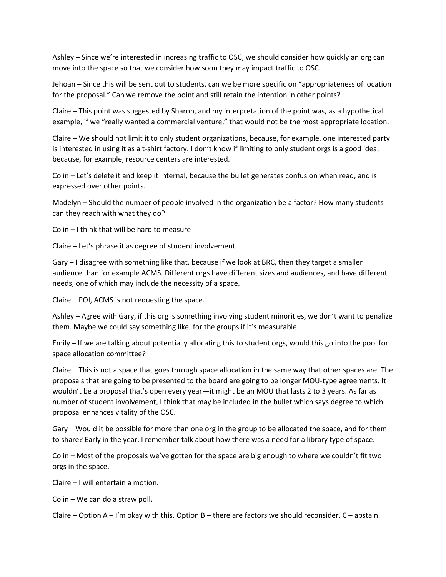Ashley – Since we're interested in increasing traffic to OSC, we should consider how quickly an org can move into the space so that we consider how soon they may impact traffic to OSC.

Jehoan – Since this will be sent out to students, can we be more specific on "appropriateness of location for the proposal." Can we remove the point and still retain the intention in other points?

Claire – This point was suggested by Sharon, and my interpretation of the point was, as a hypothetical example, if we "really wanted a commercial venture," that would not be the most appropriate location.

Claire – We should not limit it to only student organizations, because, for example, one interested party is interested in using it as a t-shirt factory. I don't know if limiting to only student orgs is a good idea, because, for example, resource centers are interested.

Colin – Let's delete it and keep it internal, because the bullet generates confusion when read, and is expressed over other points.

Madelyn – Should the number of people involved in the organization be a factor? How many students can they reach with what they do?

Colin – I think that will be hard to measure

Claire – Let's phrase it as degree of student involvement

Gary – I disagree with something like that, because if we look at BRC, then they target a smaller audience than for example ACMS. Different orgs have different sizes and audiences, and have different needs, one of which may include the necessity of a space.

Claire – POI, ACMS is not requesting the space.

Ashley – Agree with Gary, if this org is something involving student minorities, we don't want to penalize them. Maybe we could say something like, for the groups if it's measurable.

Emily – If we are talking about potentially allocating this to student orgs, would this go into the pool for space allocation committee?

Claire – This is not a space that goes through space allocation in the same way that other spaces are. The proposals that are going to be presented to the board are going to be longer MOU-type agreements. It wouldn't be a proposal that's open every year—it might be an MOU that lasts 2 to 3 years. As far as number of student involvement, I think that may be included in the bullet which says degree to which proposal enhances vitality of the OSC.

Gary – Would it be possible for more than one org in the group to be allocated the space, and for them to share? Early in the year, I remember talk about how there was a need for a library type of space.

Colin – Most of the proposals we've gotten for the space are big enough to where we couldn't fit two orgs in the space.

Claire – I will entertain a motion.

Colin – We can do a straw poll.

Claire – Option  $A - I'$ m okay with this. Option  $B -$  there are factors we should reconsider.  $C -$  abstain.